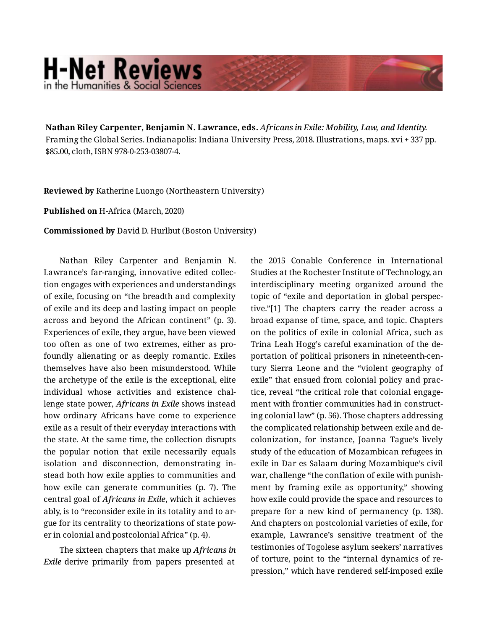## **H-Net Reviews** in the Humanities & Social Scienc

**Nathan Riley Carpenter, Benjamin N. Lawrance, eds.** *Africans in Exile: Mobility, Law, and Identity.*  Framing the Global Series. Indianapolis: Indiana University Press, 2018. Illustrations, maps. xvi + 337 pp. \$85.00, cloth, ISBN 978-0-253-03807-4.

**Reviewed by** Katherine Luongo (Northeastern University)

**Published on** H-Africa (March, 2020)

**Commissioned by** David D. Hurlbut (Boston University)

Nathan Riley Carpenter and Benjamin N. Lawrance's far-ranging, innovative edited collec‐ tion engages with experiences and understandings of exile, focusing on "the breadth and complexity of exile and its deep and lasting impact on people across and beyond the African continent" (p. 3). Experiences of exile, they argue, have been viewed too often as one of two extremes, either as pro‐ foundly alienating or as deeply romantic. Exiles themselves have also been misunderstood. While the archetype of the exile is the exceptional, elite individual whose activities and existence chal‐ lenge state power, *Africans in Exile* shows instead how ordinary Africans have come to experience exile as a result of their everyday interactions with the state. At the same time, the collection disrupts the popular notion that exile necessarily equals isolation and disconnection, demonstrating in‐ stead both how exile applies to communities and how exile can generate communities (p. 7). The central goal of *Africans in Exile*, which it achieves ably, is to "reconsider exile in its totality and to ar‐ gue for its centrality to theorizations of state pow‐ er in colonial and postcolonial Africa" (p. 4).

The sixteen chapters that make up *Africans in Exile* derive primarily from papers presented at the 2015 Conable Conference in International Studies at the Rochester Institute of Technology, an interdisciplinary meeting organized around the topic of "exile and deportation in global perspec‐ tive."[1] The chapters carry the reader across a broad expanse of time, space, and topic. Chapters on the politics of exile in colonial Africa, such as Trina Leah Hogg's careful examination of the de‐ portation of political prisoners in nineteenth-cen‐ tury Sierra Leone and the "violent geography of exile" that ensued from colonial policy and prac‐ tice, reveal "the critical role that colonial engage‐ ment with frontier communities had in construct‐ ing colonial law" (p. 56). Those chapters addressing the complicated relationship between exile and de‐ colonization, for instance, Joanna Tague's lively study of the education of Mozambican refugees in exile in Dar es Salaam during Mozambique's civil war, challenge "the conflation of exile with punish‐ ment by framing exile as opportunity," showing how exile could provide the space and resources to prepare for a new kind of permanency (p. 138). And chapters on postcolonial varieties of exile, for example, Lawrance's sensitive treatment of the testimonies of Togolese asylum seekers' narratives of torture, point to the "internal dynamics of re‐ pression," which have rendered self-imposed exile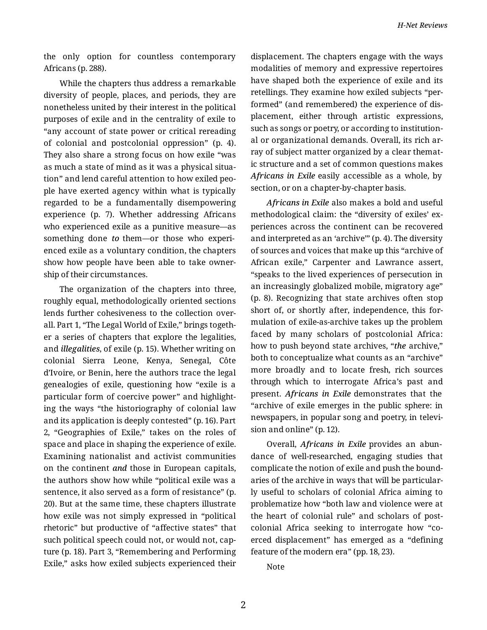the only option for countless contemporary Africans (p. 288).

While the chapters thus address a remarkable diversity of people, places, and periods, they are nonetheless united by their interest in the political purposes of exile and in the centrality of exile to "any account of state power or critical rereading of colonial and postcolonial oppression" (p. 4). They also share a strong focus on how exile "was as much a state of mind as it was a physical situa‐ tion" and lend careful attention to how exiled peo‐ ple have exerted agency within what is typically regarded to be a fundamentally disempowering experience (p. 7). Whether addressing Africans who experienced exile as a punitive measure—as something done *to* them—or those who experi‐ enced exile as a voluntary condition, the chapters show how people have been able to take owner‐ ship of their circumstances.

The organization of the chapters into three, roughly equal, methodologically oriented sections lends further cohesiveness to the collection over‐ all. Part 1, "The Legal World of Exile," brings togeth‐ er a series of chapters that explore the legalities, and *illegalities*, of exile (p. 15). Whether writing on colonial Sierra Leone, Kenya, Senegal, Côte d'Ivoire, or Benin, here the authors trace the legal genealogies of exile, questioning how "exile is a particular form of coercive power" and highlight‐ ing the ways "the historiography of colonial law and its application is deeply contested" (p. 16). Part 2, "Geographies of Exile," takes on the roles of space and place in shaping the experience of exile. Examining nationalist and activist communities on the continent *and* those in European capitals, the authors show how while "political exile was a sentence, it also served as a form of resistance" (p. 20). But at the same time, these chapters illustrate how exile was not simply expressed in "political rhetoric" but productive of "affective states" that such political speech could not, or would not, cap‐ ture (p. 18). Part 3, "Remembering and Performing Exile," asks how exiled subjects experienced their

displacement. The chapters engage with the ways modalities of memory and expressive repertoires have shaped both the experience of exile and its retellings. They examine how exiled subjects "per‐ formed" (and remembered) the experience of dis‐ placement, either through artistic expressions, such as songs or poetry, or according to institution‐ al or organizational demands. Overall, its rich ar‐ ray of subject matter organized by a clear themat‐ ic structure and a set of common questions makes *Africans in Exile* easily accessible as a whole, by section, or on a chapter-by-chapter basis.

*Africans in Exile* also makes a bold and useful methodological claim: the "diversity of exiles' ex‐ periences across the continent can be recovered and interpreted as an 'archive'" (p. 4). The diversity of sources and voices that make up this "archive of African exile," Carpenter and Lawrance assert, "speaks to the lived experiences of persecution in an increasingly globalized mobile, migratory age" (p. 8). Recognizing that state archives often stop short of, or shortly after, independence, this for‐ mulation of exile-as-archive takes up the problem faced by many scholars of postcolonial Africa: how to push beyond state archives, "*the* archive," both to conceptualize what counts as an "archive" more broadly and to locate fresh, rich sources through which to interrogate Africa's past and present. *Africans in Exile* demonstrates that the "archive of exile emerges in the public sphere: in newspapers, in popular song and poetry, in televi‐ sion and online" (p. 12).

Overall, *Africans in Exile* provides an abun‐ dance of well-researched, engaging studies that complicate the notion of exile and push the bound‐ aries of the archive in ways that will be particular‐ ly useful to scholars of colonial Africa aiming to problematize how "both law and violence were at the heart of colonial rule" and scholars of post‐ colonial Africa seeking to interrogate how "co‐ erced displacement" has emerged as a "defining feature of the modern era" (pp. 18, 23).

Note

2